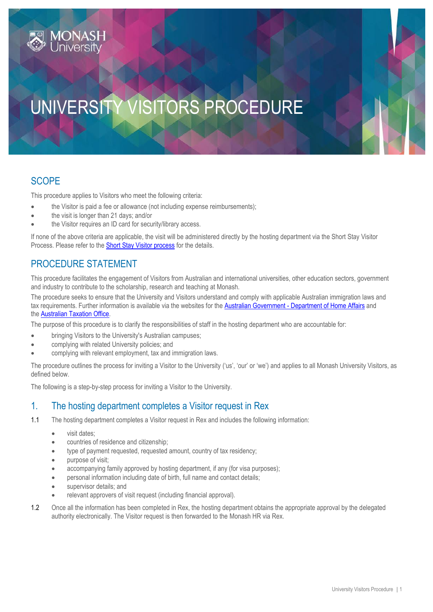# UNIVERSITY VISITORS PROCEDURE

### **SCOPE**

This procedure applies to Visitors who meet the following criteria:

- the Visitor is paid a fee or allowance (not including expense reimbursements);
- the visit is longer than 21 days; and/or
- the Visitor requires an ID card for security/library access.

If none of the above criteria are applicable, the visit will be administered directly by the hosting department via the Short Stay Visitor Process. Please refer to the [Short Stay Visitor process](https://www.monash.edu/__data/assets/pdf_file/0011/1218188/Short-Stay-Visitor-Process.pdf) for the details.

# PROCEDURE STATEMENT

This procedure facilitates the engagement of Visitors from Australian and international universities, other education sectors, government and industry to contribute to the scholarship, research and teaching at Monash.

The procedure seeks to ensure that the University and Visitors understand and comply with applicable Australian immigration laws and tax requirements. Further information is available via the websites for the Australian Government - [Department of Home Affairs](http://www.homeaffairs.gov.au/) and the [Australian Taxation Office.](https://www.ato.gov.au/)

The purpose of this procedure is to clarify the responsibilities of staff in the hosting department who are accountable for:

- bringing Visitors to the University's Australian campuses;
- complying with related University policies; and
- complying with relevant employment, tax and immigration laws.

The procedure outlines the process for inviting a Visitor to the University ('us', 'our' or 'we') and applies to all Monash University Visitors, as defined below.

The following is a step-by-step process for inviting a Visitor to the University.

#### 1. The hosting department completes a Visitor request in Rex

- 1.1 The hosting department completes a Visitor request in Rex and includes the following information:
	- visit dates:
	- countries of residence and citizenship;
	- type of payment requested, requested amount, country of tax residency;
	- purpose of visit;
	- accompanying family approved by hosting department, if any (for visa purposes);
	- personal information including date of birth, full name and contact details;
	- supervisor details; and
	- relevant approvers of visit request (including financial approval).
- 1.2 Once all the information has been completed in Rex, the hosting department obtains the appropriate approval by the delegated authority electronically. The Visitor request is then forwarded to the Monash HR via Rex.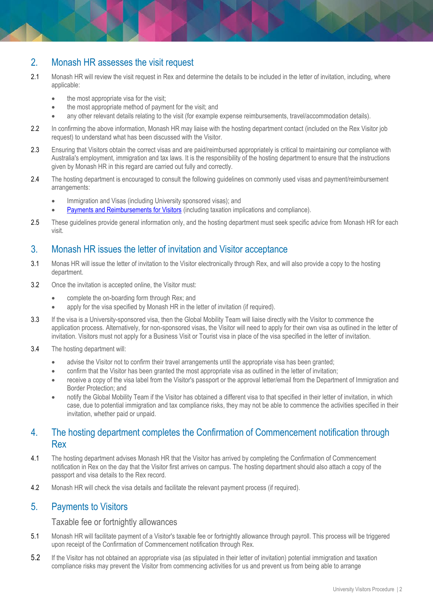#### 2. Monash HR assesses the visit request

- 2.1 Monash HR will review the visit request in Rex and determine the details to be included in the letter of invitation, including, where applicable:
	- the most appropriate visa for the visit;
	- the most appropriate method of payment for the visit; and
	- any other relevant details relating to the visit (for example expense reimbursements, travel/accommodation details).
- 2.2 In confirming the above information, Monash HR may liaise with the hosting department contact (included on the Rex Visitor job request) to understand what has been discussed with the Visitor.
- 2.3 Ensuring that Visitors obtain the correct visas and are paid/reimbursed appropriately is critical to maintaining our compliance with Australia's employment, immigration and tax laws. It is the responsibility of the hosting department to ensure that the instructions given by Monash HR in this regard are carried out fully and correctly.
- 2.4 The hosting department is encouraged to consult the following guidelines on commonly used visas and payment/reimbursement arrangements:
	- **•** Immigration and Visas (including University sponsored visas); and
	- [Payments and Reimbursements for Visitors](https://www.monash.edu/__data/assets/pdf_file/0018/1241613/Payments-And-Reimbursements-for-Visitors-Guideline.pdf) (including taxation implications and compliance).
- 2.5 These guidelines provide general information only, and the hosting department must seek specific advice from Monash HR for each visit.

#### 3. Monash HR issues the letter of invitation and Visitor acceptance

- 3.1 Monas HR will issue the letter of invitation to the Visitor electronically through Rex, and will also provide a copy to the hosting department.
- 3.2 Once the invitation is accepted online, the Visitor must:
	- complete the on-boarding form through Rex; and
	- apply for the visa specified by Monash HR in the letter of invitation (if required).
- 3.3 If the visa is a University-sponsored visa, then the Global Mobility Team will liaise directly with the Visitor to commence the application process. Alternatively, for non-sponsored visas, the Visitor will need to apply for their own visa as outlined in the letter of invitation. Visitors must not apply for a Business Visit or Tourist visa in place of the visa specified in the letter of invitation.
- 3.4 The hosting department will:
	- advise the Visitor not to confirm their travel arrangements until the appropriate visa has been granted;
	- confirm that the Visitor has been granted the most appropriate visa as outlined in the letter of invitation;
	- receive a copy of the visa label from the Visitor's passport or the approval letter/email from the Department of Immigration and Border Protection; and
	- notify the Global Mobility Team if the Visitor has obtained a different visa to that specified in their letter of invitation, in which case, due to potential immigration and tax compliance risks, they may not be able to commence the activities specified in their invitation, whether paid or unpaid.

#### 4. The hosting department completes the Confirmation of Commencement notification through Rex

- 4.1 The hosting department advises Monash HR that the Visitor has arrived by completing the Confirmation of Commencement notification in Rex on the day that the Visitor first arrives on campus. The hosting department should also attach a copy of the passport and visa details to the Rex record.
- 4.2 Monash HR will check the visa details and facilitate the relevant payment process (if required).

#### 5. Payments to Visitors

Taxable fee or fortnightly allowances

- 5.1 Monash HR will facilitate payment of a Visitor's taxable fee or fortnightly allowance through payroll. This process will be triggered upon receipt of the Confirmation of Commencement notification through Rex.
- 5.2 If the Visitor has not obtained an appropriate visa (as stipulated in their letter of invitation) potential immigration and taxation compliance risks may prevent the Visitor from commencing activities for us and prevent us from being able to arrange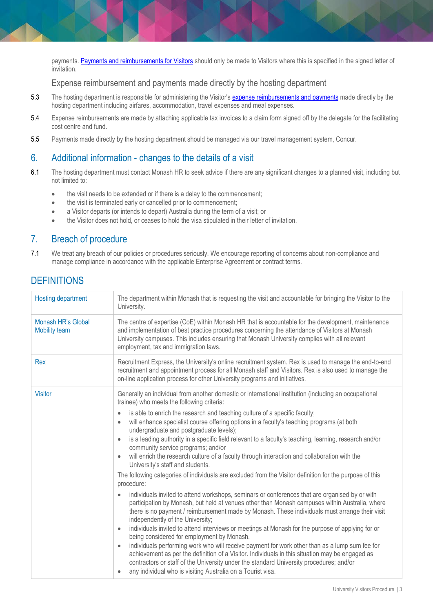payments. [Payments and reimbursements for Visitors](https://www.monash.edu/__data/assets/pdf_file/0018/1241613/Payments-And-Reimbursements-for-Visitors-Guideline.pdf) should only be made to Visitors where this is specified in the signed letter of invitation.

Expense reimbursement and payments made directly by the hosting department

- 5.3 The hosting department is responsible for administering the Visitor's **[expense reimbursements and](https://www.monash.edu/__data/assets/pdf_file/0018/1241613/Payments-And-Reimbursements-for-Visitors-Guideline.pdf) payments** made directly by the hosting department including airfares, accommodation, travel expenses and meal expenses.
- 5.4 Expense reimbursements are made by attaching applicable tax invoices to a claim form signed off by the delegate for the facilitating cost centre and fund.
- 5.5 Payments made directly by the hosting department should be managed via our travel management system, Concur.

#### 6. Additional information - changes to the details of a visit

- 6.1 The hosting department must contact Monash HR to seek advice if there are any significant changes to a planned visit, including but not limited to:
	- the visit needs to be extended or if there is a delay to the commencement;
	- the visit is terminated early or cancelled prior to commencement;
	- a Visitor departs (or intends to depart) Australia during the term of a visit; or
	- the Visitor does not hold, or ceases to hold the visa stipulated in their letter of invitation.

#### 7. Breach of procedure

7.1 We treat any breach of our policies or procedures seriously. We encourage reporting of concerns about non-compliance and manage compliance in accordance with the applicable Enterprise Agreement or contract terms.

| <b>Hosting department</b>                  | The department within Monash that is requesting the visit and accountable for bringing the Visitor to the<br>University.                                                                                                                                                                                                                                                                                                                                                                                                                                                                                                                                                                                                                                                                                                                                                                                                                                                                                                                                                                                                                                                                                                                                                                                                                                                                                                                                                                                                                                                                                                                                                                   |
|--------------------------------------------|--------------------------------------------------------------------------------------------------------------------------------------------------------------------------------------------------------------------------------------------------------------------------------------------------------------------------------------------------------------------------------------------------------------------------------------------------------------------------------------------------------------------------------------------------------------------------------------------------------------------------------------------------------------------------------------------------------------------------------------------------------------------------------------------------------------------------------------------------------------------------------------------------------------------------------------------------------------------------------------------------------------------------------------------------------------------------------------------------------------------------------------------------------------------------------------------------------------------------------------------------------------------------------------------------------------------------------------------------------------------------------------------------------------------------------------------------------------------------------------------------------------------------------------------------------------------------------------------------------------------------------------------------------------------------------------------|
| Monash HR's Global<br><b>Mobility team</b> | The centre of expertise (CoE) within Monash HR that is accountable for the development, maintenance<br>and implementation of best practice procedures concerning the attendance of Visitors at Monash<br>University campuses. This includes ensuring that Monash University complies with all relevant<br>employment, tax and immigration laws.                                                                                                                                                                                                                                                                                                                                                                                                                                                                                                                                                                                                                                                                                                                                                                                                                                                                                                                                                                                                                                                                                                                                                                                                                                                                                                                                            |
| Rex                                        | Recruitment Express, the University's online recruitment system. Rex is used to manage the end-to-end<br>recruitment and appointment process for all Monash staff and Visitors. Rex is also used to manage the<br>on-line application process for other University programs and initiatives.                                                                                                                                                                                                                                                                                                                                                                                                                                                                                                                                                                                                                                                                                                                                                                                                                                                                                                                                                                                                                                                                                                                                                                                                                                                                                                                                                                                               |
| <b>Visitor</b>                             | Generally an individual from another domestic or international institution (including an occupational<br>trainee) who meets the following criteria:<br>is able to enrich the research and teaching culture of a specific faculty;<br>$\bullet$<br>will enhance specialist course offering options in a faculty's teaching programs (at both<br>$\bullet$<br>undergraduate and postgraduate levels);<br>is a leading authority in a specific field relevant to a faculty's teaching, learning, research and/or<br>community service programs; and/or<br>will enrich the research culture of a faculty through interaction and collaboration with the<br>University's staff and students.<br>The following categories of individuals are excluded from the Visitor definition for the purpose of this<br>procedure:<br>individuals invited to attend workshops, seminars or conferences that are organised by or with<br>participation by Monash, but held at venues other than Monash campuses within Australia, where<br>there is no payment / reimbursement made by Monash. These individuals must arrange their visit<br>independently of the University;<br>individuals invited to attend interviews or meetings at Monash for the purpose of applying for or<br>$\bullet$<br>being considered for employment by Monash.<br>individuals performing work who will receive payment for work other than as a lump sum fee for<br>achievement as per the definition of a Visitor. Individuals in this situation may be engaged as<br>contractors or staff of the University under the standard University procedures; and/or<br>any individual who is visiting Australia on a Tourist visa. |

# **DEFINITIONS**